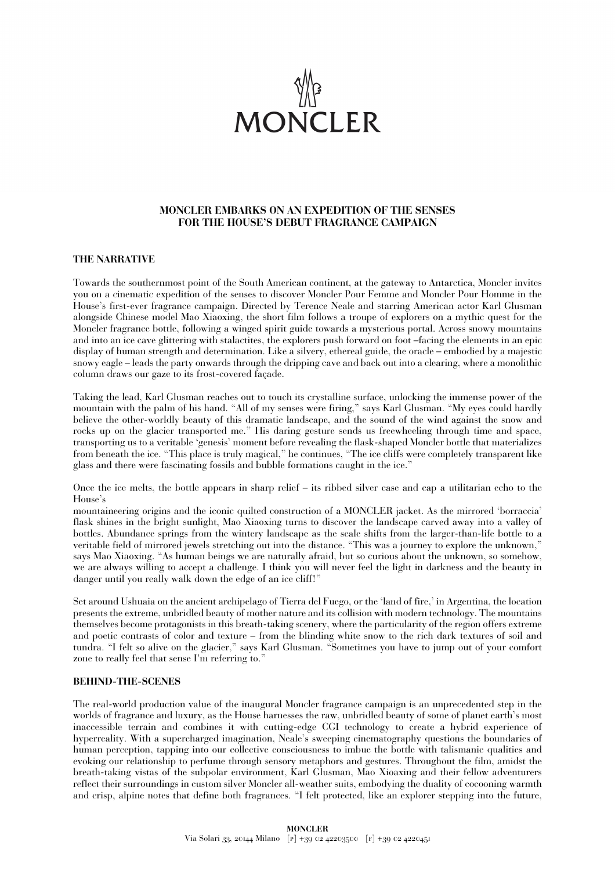

# **MONCLER EMBARKS ON AN EXPEDITION OF THE SENSES FOR THE HOUSE'S DEBUT FRAGRANCE CAMPAIGN**

## **THE NARRATIVE**

Towards the southernmost point of the South American continent, at the gateway to Antarctica, Moncler invites you on a cinematic expedition of the senses to discover Moncler Pour Femme and Moncler Pour Homme in the House's first-ever fragrance campaign. Directed by Terence Neale and starring American actor Karl Glusman alongside Chinese model Mao Xiaoxing, the short film follows a troupe of explorers on a mythic quest for the Moncler fragrance bottle, following a winged spirit guide towards a mysterious portal. Across snowy mountains and into an ice cave glittering with stalactites, the explorers push forward on foot –facing the elements in an epic display of human strength and determination. Like a silvery, ethereal guide, the oracle – embodied by a majestic snowy eagle – leads the party onwards through the dripping cave and back out into a clearing, where a monolithic column draws our gaze to its frost-covered façade.

Taking the lead, Karl Glusman reaches out to touch its crystalline surface, unlocking the immense power of the mountain with the palm of his hand. "All of my senses were firing," says Karl Glusman. "My eyes could hardly believe the other-worldly beauty of this dramatic landscape, and the sound of the wind against the snow and rocks up on the glacier transported me." His daring gesture sends us freewheeling through time and space, transporting us to a veritable 'genesis' moment before revealing the flask-shaped Moncler bottle that materializes from beneath the ice. "This place is truly magical," he continues, "The ice cliffs were completely transparent like glass and there were fascinating fossils and bubble formations caught in the ice."

Once the ice melts, the bottle appears in sharp relief – its ribbed silver case and cap a utilitarian echo to the House's

mountaineering origins and the iconic quilted construction of a MONCLER jacket. As the mirrored 'borraccia' flask shines in the bright sunlight, Mao Xiaoxing turns to discover the landscape carved away into a valley of bottles. Abundance springs from the wintery landscape as the scale shifts from the larger-than-life bottle to a veritable field of mirrored jewels stretching out into the distance. "This was a journey to explore the unknown," says Mao Xiaoxing. "As human beings we are naturally afraid, but so curious about the unknown, so somehow, we are always willing to accept a challenge. I think you will never feel the light in darkness and the beauty in danger until you really walk down the edge of an ice cliff!"

Set around Ushuaia on the ancient archipelago of Tierra del Fuego, or the 'land of fire,' in Argentina, the location presents the extreme, unbridled beauty of mother nature and its collision with modern technology. The mountains themselves become protagonists in this breath-taking scenery, where the particularity of the region offers extreme and poetic contrasts of color and texture – from the blinding white snow to the rich dark textures of soil and tundra. "I felt so alive on the glacier," says Karl Glusman. "Sometimes you have to jump out of your comfort zone to really feel that sense I'm referring to."

#### **BEHIND-THE-SCENES**

The real-world production value of the inaugural Moncler fragrance campaign is an unprecedented step in the worlds of fragrance and luxury, as the House harnesses the raw, unbridled beauty of some of planet earth's most inaccessible terrain and combines it with cutting-edge CGI technology to create a hybrid experience of hyperreality. With a supercharged imagination, Neale's sweeping cinematography questions the boundaries of human perception, tapping into our collective consciousness to imbue the bottle with talismanic qualities and evoking our relationship to perfume through sensory metaphors and gestures. Throughout the film, amidst the breath-taking vistas of the subpolar environment, Karl Glusman, Mao Xioaxing and their fellow adventurers reflect their surroundings in custom silver Moncler all-weather suits, embodying the duality of cocooning warmth and crisp, alpine notes that define both fragrances. "I felt protected, like an explorer stepping into the future,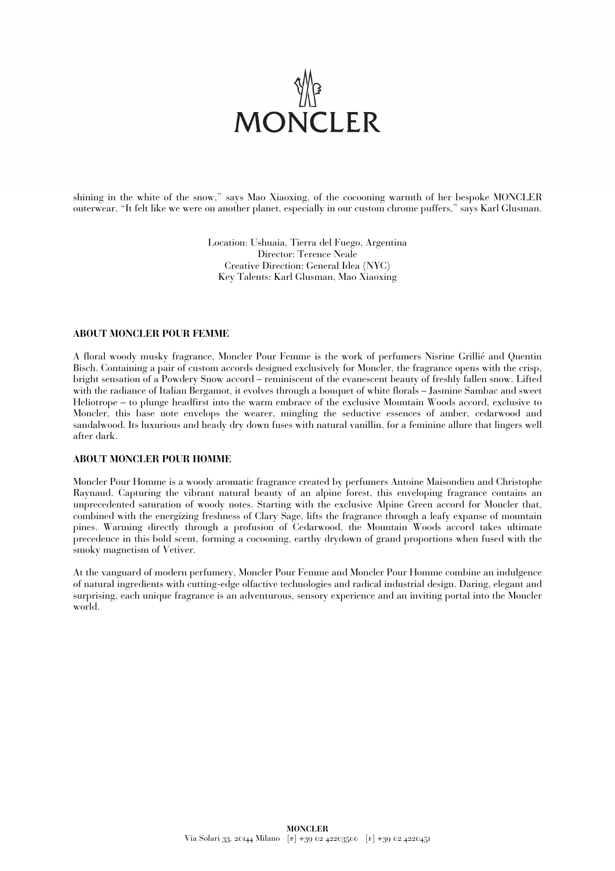

shining in the white of the snow," says Mao Xiaoxing, of the cocooning warmth of her bespoke MONCLER outerwear. "It felt like we were on another planet, especially in our custom chrome puffers," says Karl Glusman.

> Location: Ushuaia, Tierra del Fuego, Argentina Director: Terence Neale Creative Direction: General Idea (NYC) Key Talents: Karl Glusman, Mao Xiaoxing

#### **ABOUT MONCLER POUR FEMME**

A floral woody musky fragrance, Moncler Pour Femme is the work of perfumers Nisrine Grillié and Quentin Bisch. Containing a pair of custom accords designed exclusively for Moncler, the fragrance opens with the crisp, bright sensation of a Powdery Snow accord – reminiscent of the evanescent beauty of freshly fallen snow. Lifted with the radiance of Italian Bergamot, it evolves through a bouquet of white florals – Jasmine Sambac and sweet Heliotrope – to plunge headfirst into the warm embrace of the exclusive Mountain Woods accord, exclusive to Moncler, this base note envelops the wearer, mingling the seductive essences of amber, cedarwood and sandalwood. Its luxurious and heady dry down fuses with natural vanillin, for a feminine allure that lingers well after dark.

#### **ABOUT MONCLER POUR HOMME**

Moncler Pour Homme is a woody aromatic fragrance created by perfumers Antoine Maisondieu and Christophe Raynaud. Capturing the vibrant natural beauty of an alpine forest, this enveloping fragrance contains an unprecedented saturation of woody notes. Starting with the exclusive Alpine Green accord for Moncler that, combined with the energizing freshness of Clary Sage, lifts the fragrance through a leafy expanse of mountain pines. Warming directly through a profusion of Cedarwood, the Mountain Woods accord takes ultimate precedence in this bold scent, forming a cocooning, earthy drydown of grand proportions when fused with the smoky magnetism of Vetiver.

At the vanguard of modern perfumery, Moncler Pour Femme and Moncler Pour Homme combine an indulgence of natural ingredients with cutting-edge olfactive technologies and radical industrial design. Daring, elegant and surprising, each unique fragrance is an adventurous, sensory experience and an inviting portal into the Moncler world.